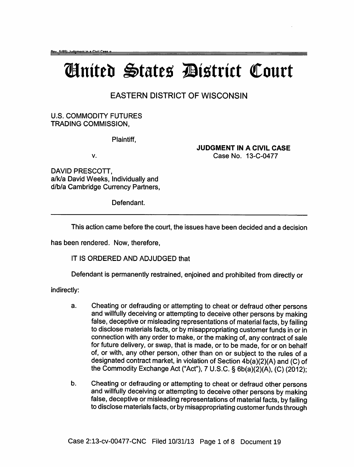## Ginited States District Court

## EASTERN DISTRICT OF WISCONSIN

U.S. COMMODITY FUTURES TRADING COMMISSION,

Plaintiff,

v.

JUDGMENT IN A CIVIL CASE Case No. 13-C-0477

DAVID PRESCOTT, a/kla David Weeks, Individually and d/b/a Cambridge Currency Partners,

Defendant.

This action came before the court, the issues have been decided and a decision

has been rendered. Now, therefore,

IT IS ORDERED AND ADJUDGED that

Defendant is permanently restrained, enjoined and prohibited from directly or

indirectly:

- a. Cheating or defrauding or attempting to cheat or defraud other persons and willfully deceiving or attempting to deceive other persons by making false, deceptive or misleading representations of material facts, by failing to disclose materials facts, or by misappropriating customer funds in or in connection with any order to make, or the making of, any contract of sale for future delivery, or swap, that is made, or to be made, for or on behalf of, or with, any other person, other than on or subject to the rules of a designated contract market, in violation of Section 4b(a)(2)(A) and (C) of the Commodity Exchange Act ("Act"), 7 U.S.C. § 6b(a)(2)(A), (C) (2012);
- b. Cheating or defrauding or attempting to cheat or defraud other persons and willfully deceiving or attempting to deceive other persons by making false, deceptive or misleading representations of material facts, by failing to disclose materials facts, or by misappropriating customer funds through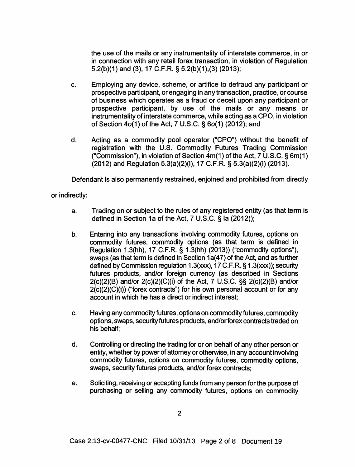the use of the mails or any instrumentality of interstate commerce, in or in connection with any retail forex transaction, in violation of Regulation 5.2(b )(1) and (3), 17 C.F .R. § 5.2(b )(1 ),(3) (2013);

- c. Employing any device, scheme, or artifice to defraud any participant or prospective participant, or engaging in any transaction, practice, or course of business which operates as a fraud or deceit upon any participant or prospective participant, by use of the mails or any means or instrumentality of interstate commerce, while acting as a CPO, in violation of Section 4o(1) of the Act, 7 U.S.C. § 6o(1) (2012); and
- d. Acting as a commodity pool operator ("CPO") without the benefit of registration with the U.S. Commodity Futures Trading Commission ("Commission"), in violation of Section  $4m(1)$  of the Act, 7 U.S.C. § 6m(1) (2012) and Regulation 5.3(a)(2)(i), 17 C.F.R. § 5.3(a)(2)(i) (2013).

Defendant is also permanently restrained, enjoined and prohibited from directly

or indirectly:

- a. Trading on or subject to the rules of any registered entity (as that term is defined in Section 1a of the Act, 7 U.S.C. § la (2012));
- b. Entering into any transactions involving commodity futures, options on commodity futures, commodity options (as that term is defined in Regulation 1.3(hh), 17 C.F.R. § 1.3(hh) (2013)) ("commodity options"), swaps (as that term is defined in Section 1a(47) of the Act, and as further defined by Commission regulation 1.3(xxx), 17 C.F.R. § 1.3(xxx)); security futures products, and/or foreign currency (as described in Sections 2(c)(2)(8) and/or 2(c)(2)(C)(i) of the Act, 7 U.S.C. §§ 2(c)(2)(8) and/or 2(c)(2)(C)(i)) ("forex contracts") for his own personal account or for any account in which he has a direct or indirect interest;
- c. Having any commodity futures, options on commodity futures, commodity options, swaps, security futures products, and/orforexcontracts traded on his behalf;
- d. Controlling or directing the trading for or on behalf of any other person or entity, whether by power of attorney or otherwise, in any account involving commodity futures, options on commodity futures, commodity options, swaps, security futures products, and/or forex contracts;
- e. Soliciting, receiving or accepting funds from any person for the purpose of purchasing or selling any commodity futures, options on commodity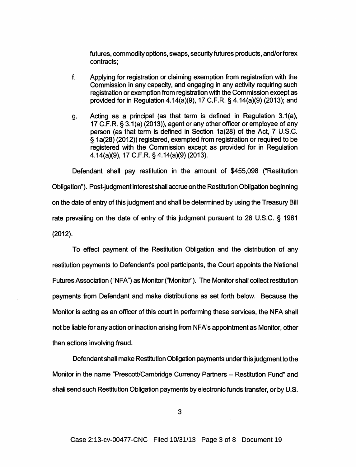futures, commodity options, swaps, security futures products, and/orforex contracts;

- f. Applying for registration or claiming exemption from registration with the Commission in any capacity, and engaging in any activity requiring such registration or exemption from registration with the Commission except as provided for in Regulation 4.14(a)(9), 17 C.F.R. § 4.14(a)(9) (2013); and
- g. Acting as a principal (as that term is defined in Regulation  $3.1(a)$ , 17 C.F.R. § 3.1 (a) (2013)), agent or any other officer or employee of any person (as that term is defined in Section 1a(28) of the Act, 7 U.S.C. § 1a(28) (2012)) registered, exempted from registration or required to be registered with the Commission except as provided for in Regulation 4.14(a)(9), 17 C.F.R. § 4.14(a)(9) (2013).

Defendant shall pay restitution in the amount of \$455,098 ("Restitution Obligation"). Post-judgment interest shall accrue on the Restitution Obligation beginning on the date of entry of this judgment and shall be determined by using the Treasury Bill rate prevailing on the date of entry of this judgment pursuant to 28 U.S.C. § 1961 (2012).

To effect payment of the Restitution Obligation and the distribution of any restitution payments to Defendant's pool participants, the Court appoints the National Futures Association ("NFA") as Monitor ("Monitor''). The Monitor shall collect restitution payments from Defendant and make distributions as set forth below. Because the Monitor is acting as an officer of this court in performing these services, the NFA shall not be liable for any action or inaction arising from NFA's appointment as Monitor, other than actions involving fraud.

Defendant shall make Restitution Obligation payments under this judgment to the Monitor in the name "Prescott/Cambridge Currency Partners - Restitution Fund" and shall send such Restitution Obligation payments by electronic funds transfer, or by U.S.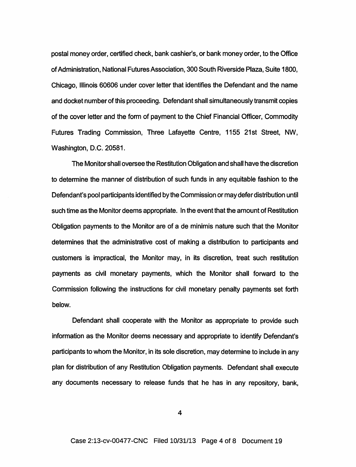postal money order, certified check, bank cashier's, or bank money order, to the Office of Administration, National Futures Association, 300 South Riverside Plaza, Suite 1800, Chicago, Illinois 60606 under cover letter that identifies the Defendant and the name and docket number of this proceeding. Defendant shall simultaneously transmit copies of the cover letter and the form of payment to the Chief Financial Officer, Commodity Futures Trading Commission, Three Lafayette Centre, 1155 21st Street, NW, Washington, D.C. 20581.

The Monitor shall oversee the Restitution Obligation and shall have the discretion to determine the manner of distribution of such funds in any equitable fashion to the Defendant's pool participants identified by the Commission or may defer distribution until such time as the Monitor deems appropriate. In the event that the amount of Restitution Obligation payments to the Monitor are of a de minimis nature such that the Monitor determines that the administrative cost of making a distribution to participants and customers is impractical, the Monitor may, in its discretion, treat such restitution payments as civil monetary payments, which the Monitor shall forward to the Commission following the instructions for civil monetary penalty payments set forth below.

Defendant shall cooperate with the Monitor as appropriate to provide such information as the Monitor deems necessary and appropriate to identify Defendant's participants to whom the Monitor, in its sole discretion, may determine to include in any plan for distribution of any Restitution Obligation payments. Defendant shall execute any documents necessary to release funds that he has in any repository, bank,

4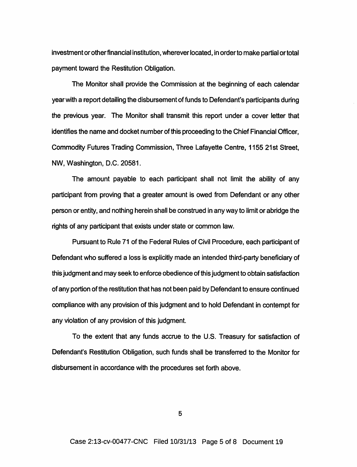investment or other financial institution, wherever located, in order to make partial or total payment toward the Restitution Obligation.

The Monitor shall provide the Commission at the beginning of each calendar year with a report detailing the disbursement of funds to Defendant's participants during the previous year. The Monitor shall transmit this report under a cover letter that identifies the name and docket number of this proceeding to the Chief Financial Officer, Commodity Futures Trading Commission, Three Lafayette Centre, 1155 21st Street, NW, Washington, D.C. 20581.

The amount payable to each participant shall not limit the ability of any participant from proving that a greater amount is owed from Defendant or any other person or entity, and nothing herein shall be construed in any way to limit or abridge the rights of any participant that exists under state or common law.

Pursuant to Rule 71 of the Federal Rules of Civil Procedure, each participant of Defendant who suffered a loss is explicitly made an intended third-party beneficiary of this judgment and may seek to enforce obedience of this judgment to obtain satisfaction of any portion of the restitution that has not been paid by Defendant to ensure continued compliance with any provision of this judgment and to hold Defendant in contempt for any violation of any provision of this judgment.

To the extent that any funds accrue to the U.S. Treasury for satisfaction of Defendant's Restitution Obligation, such funds shall be transferred to the Monitor for disbursement in accordance with the procedures set forth above.

5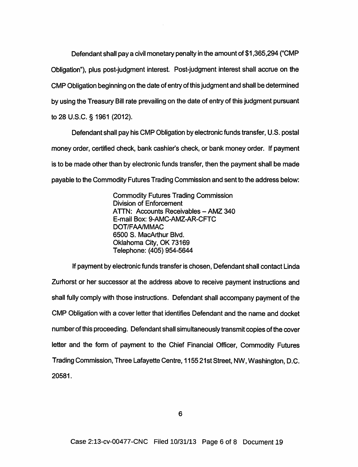Defendant shall pay a civil monetary penalty in the amount of \$1,365,294 ("CMP Obligation"), plus post-judgment interest. Post-judgment interest shall accrue on the CMP Obligation beginning on the date of entry of this judgment and shall be determined by using the Treasury Bill rate prevailing on the date of entry of this judgment pursuant to 28 U.S.C. § 1961 (2012).

Defendant shall pay his CMP Obligation by electronic funds transfer, U.S. postal money order, certified check, bank cashier's check, or bank money order. If payment is to be made other than by electronic funds transfer, then the payment shall be made payable to the Commodity Futures Trading Commission and sent to the address below:

> Commodity Futures Trading Commission Division of Enforcement ATTN: Accounts Receivables- AMZ 340 E-mail Box: 9-AMC-AMZ-AR-CFTC DOT/FAA/MMAC 6500 S. MacArthur Blvd. Oklahoma City, OK 73169 Telephone: (405) 954-5644

If payment by electronic funds transfer is chosen, Defendant shall contact Linda Zurhorst or her successor at the address above to receive payment instructions and shall fully comply with those instructions. Defendant shall accompany payment of the CMP Obligation with a cover letter that identifies Defendant and the name and docket number of this proceeding. Defendant shall simultaneously transmit copies of the cover letter and the form of payment to the Chief Financial Officer, Commodity Futures Trading Commission, Three Lafayette Centre, 1155 21st Street, NW, Washington, D.C. 20581.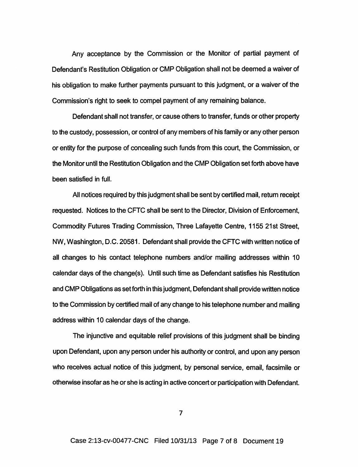Any acceptance by the Commission or the Monitor of partial payment of Defendant's Restitution Obligation or CMP Obligation shall not be deemed a waiver of his obligation to make further payments pursuant to this judgment, or a waiver of the Commission's right to seek to compel payment of any remaining balance.

Defendant shall not transfer, or cause others to transfer, funds or other property to the custody, possession, or control of any members of his family or any other person or entity for the purpose of concealing such funds from this court, the Commission, or the Monitor until the Restitution Obligation and the CMP Obligation set forth above have been satisfied in full.

All notices required by this judgment shall be sent by certified mail, return receipt requested. Notices to the CFTC shall be sent to the Director, Division of Enforcement, Commodity Futures Trading Commission, Three Lafayette Centre, 1155 21st Street, NW, Washington, D.C. 20581. Defendant shall provide the CFTC with written notice of all changes to his contact telephone numbers and/or mailing addresses within 10 calendar days of the change(s). Until such time as Defendant satisfies his Restitution and CMP Obligations as set forth in this judgment, Defendant shall provide written notice to the Commission by certified mail of any change to his telephone number and mailing address within 10 calendar days of the change.

The injunctive and equitable relief provisions of this judgment shall be binding upon Defendant, upon any person under his authority or control, and upon any person who receives actual notice of this judgment, by personal service, email, facsimile or otherwise insofar as he or she is acting in active concert or participation with Defendant.

7